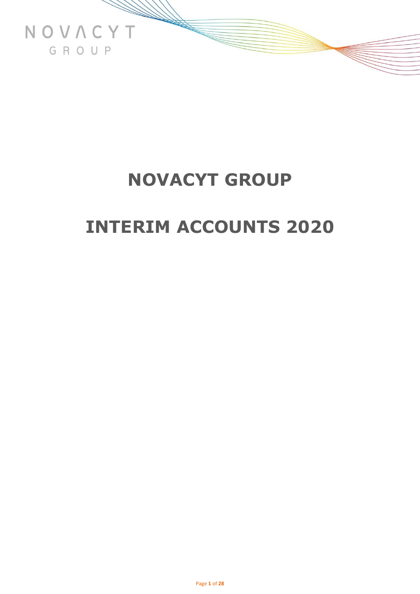

## **INTERIM ACCOUNTS 2020**

Page **1** of **28**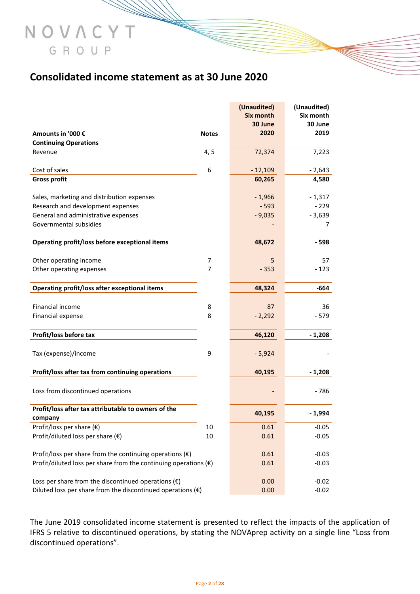### **Consolidated income statement as at 30 June 2020**

NOVACYT

GROUP

|                                                                           |              | (Unaudited)      | (Unaudited) |
|---------------------------------------------------------------------------|--------------|------------------|-------------|
|                                                                           |              | <b>Six month</b> | Six month   |
|                                                                           |              | 30 June          | 30 June     |
| Amounts in '000 €                                                         | <b>Notes</b> | 2020             | 2019        |
| <b>Continuing Operations</b>                                              |              |                  |             |
| Revenue                                                                   | 4, 5         | 72,374           | 7,223       |
| Cost of sales                                                             | 6            | $-12,109$        | $-2,643$    |
| <b>Gross profit</b>                                                       |              | 60,265           | 4,580       |
|                                                                           |              |                  |             |
| Sales, marketing and distribution expenses                                |              | $-1,966$         | $-1,317$    |
| Research and development expenses                                         |              | $-593$           | $-229$      |
| General and administrative expenses                                       |              | $-9,035$         | $-3,639$    |
| Governmental subsidies                                                    |              |                  | 7           |
|                                                                           |              |                  |             |
| Operating profit/loss before exceptional items                            |              | 48,672           | - 598       |
| Other operating income                                                    | 7            | 5                | 57          |
| Other operating expenses                                                  | 7            | $-353$           | $-123$      |
|                                                                           |              |                  |             |
| Operating profit/loss after exceptional items                             |              | 48,324           | -664        |
|                                                                           |              |                  |             |
| Financial income                                                          | 8            | 87               | 36          |
| Financial expense                                                         | 8            | $-2,292$         | $-579$      |
| Profit/loss before tax                                                    |              | 46,120           | $-1,208$    |
|                                                                           |              |                  |             |
| Tax (expense)/income                                                      | 9            | $-5,924$         |             |
|                                                                           |              |                  |             |
| Profit/loss after tax from continuing operations                          |              | 40,195           | $-1,208$    |
|                                                                           |              |                  |             |
| Loss from discontinued operations                                         |              |                  | - 786       |
| Profit/loss after tax attributable to owners of the                       |              |                  |             |
| company                                                                   |              | 40,195           | $-1,994$    |
| Profit/loss per share $(\epsilon)$                                        | 10           | 0.61             | $-0.05$     |
| Profit/diluted loss per share $(\epsilon)$                                | 10           | 0.61             | $-0.05$     |
|                                                                           |              |                  |             |
| Profit/loss per share from the continuing operations $(\epsilon)$         |              | 0.61             | $-0.03$     |
| Profit/diluted loss per share from the continuing operations $(\epsilon)$ |              | 0.61             | $-0.03$     |
|                                                                           |              |                  |             |
| Loss per share from the discontinued operations $(\epsilon)$              |              | 0.00             | $-0.02$     |
| Diluted loss per share from the discontinued operations $(\epsilon)$      |              | 0.00             | $-0.02$     |

The June 2019 consolidated income statement is presented to reflect the impacts of the application of IFRS 5 relative to discontinued operations, by stating the NOVAprep activity on a single line "Loss from discontinued operations".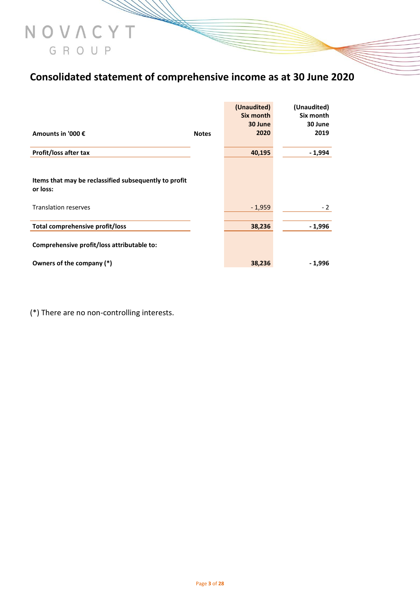### **Consolidated statement of comprehensive income as at 30 June 2020**

|                                                                         |              | (Unaudited)<br>Six month<br>30 June | (Unaudited)<br>Six month<br>30 June |
|-------------------------------------------------------------------------|--------------|-------------------------------------|-------------------------------------|
| Amounts in '000 €                                                       | <b>Notes</b> | 2020                                | 2019                                |
| Profit/loss after tax                                                   |              | 40,195                              | - 1,994                             |
| Items that may be reclassified subsequently to profit<br>or loss:       |              |                                     |                                     |
| <b>Translation reserves</b>                                             |              | $-1,959$                            | $-2$                                |
| Total comprehensive profit/loss                                         |              | 38,236                              | - 1,996                             |
| Comprehensive profit/loss attributable to:<br>Owners of the company (*) |              | 38,236                              | - 1,996                             |
|                                                                         |              |                                     |                                     |

(\*) There are no non-controlling interests.

NOVACYT

GROUP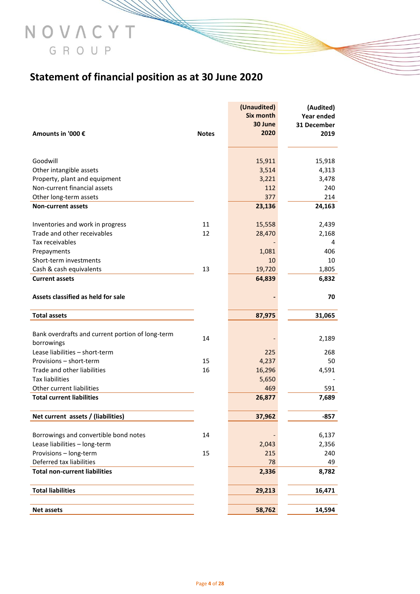### **Statement of financial position as at 30 June 2020**

NOVACYT

GROUP

|                                                                 |              | (Unaudited) | (Audited)   |
|-----------------------------------------------------------------|--------------|-------------|-------------|
|                                                                 |              | Six month   | Year ended  |
|                                                                 |              | 30 June     | 31 December |
| Amounts in '000 €                                               | <b>Notes</b> | 2020        | 2019        |
|                                                                 |              |             |             |
| Goodwill                                                        |              | 15,911      | 15,918      |
| Other intangible assets                                         |              | 3,514       | 4,313       |
| Property, plant and equipment                                   |              | 3,221       | 3,478       |
| Non-current financial assets                                    |              | 112         | 240         |
| Other long-term assets                                          |              | 377         | 214         |
| <b>Non-current assets</b>                                       |              | 23,136      | 24,163      |
|                                                                 | 11           | 15,558      | 2,439       |
| Inventories and work in progress<br>Trade and other receivables | 12           |             |             |
| Tax receivables                                                 |              | 28,470      | 2,168       |
|                                                                 |              |             | 4           |
| Prepayments                                                     |              | 1,081       | 406         |
| Short-term investments                                          |              | 10          | 10          |
| Cash & cash equivalents                                         | 13           | 19,720      | 1,805       |
| <b>Current assets</b>                                           |              | 64,839      | 6,832       |
| Assets classified as held for sale                              |              |             | 70          |
| <b>Total assets</b>                                             |              | 87,975      | 31,065      |
|                                                                 |              |             |             |
| Bank overdrafts and current portion of long-term                | 14           |             | 2,189       |
| borrowings                                                      |              |             |             |
| Lease liabilities - short-term                                  |              | 225         | 268         |
| Provisions - short-term                                         | 15           | 4,237       | 50          |
| Trade and other liabilities                                     | 16           | 16,296      | 4,591       |
| <b>Tax liabilities</b>                                          |              | 5,650       |             |
| Other current liabilities                                       |              | 469         | 591         |
| <b>Total current liabilities</b>                                |              | 26,877      | 7,689       |
| Net current assets / (liabilities)                              |              | 37,962      | $-857$      |
|                                                                 |              |             |             |
| Borrowings and convertible bond notes                           | 14           |             | 6,137       |
| Lease liabilities - long-term                                   |              | 2,043       | 2,356       |
| Provisions - long-term                                          | 15           | 215         | 240         |
| Deferred tax liabilities                                        |              | 78          | 49          |
| <b>Total non-current liabilities</b>                            |              | 2,336       | 8,782       |
| <b>Total liabilities</b>                                        |              | 29,213      | 16,471      |
|                                                                 |              |             |             |
| <b>Net assets</b>                                               |              | 58,762      | 14,594      |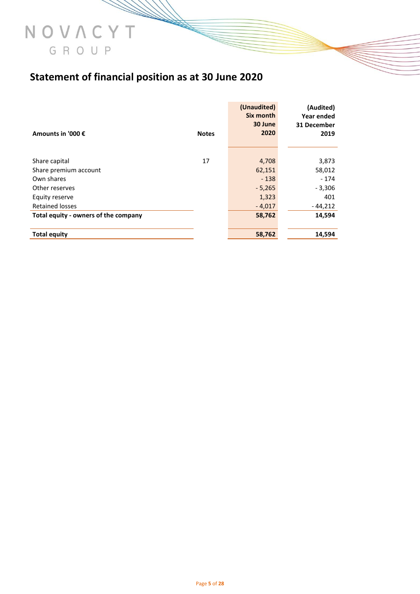# GROUP

NOVACYT

### **Statement of financial position as at 30 June 2020**

|                                      |              | (Unaudited)<br>Six month | (Audited)<br>Year ended |
|--------------------------------------|--------------|--------------------------|-------------------------|
| Amounts in '000 €                    | <b>Notes</b> | 30 June<br>2020          | 31 December<br>2019     |
|                                      |              |                          |                         |
| Share capital                        | 17           | 4,708                    | 3,873                   |
| Share premium account                |              | 62,151                   | 58,012                  |
| Own shares                           |              | $-138$                   | $-174$                  |
| Other reserves                       |              | $-5,265$                 | $-3,306$                |
| Equity reserve                       |              | 1,323                    | 401                     |
| <b>Retained losses</b>               |              | $-4,017$                 | $-44,212$               |
| Total equity - owners of the company |              | 58,762                   | 14,594                  |
| <b>Total equity</b>                  |              | 58,762                   | 14,594                  |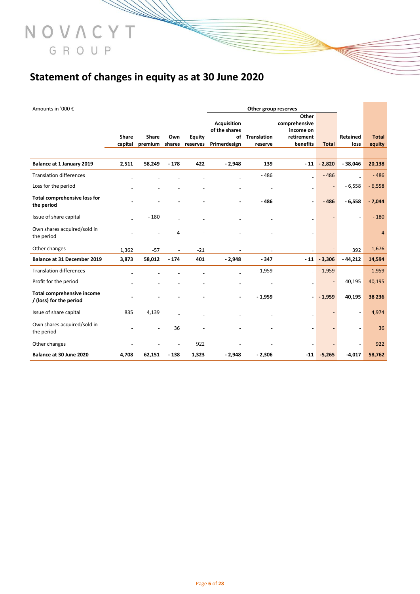### **Statement of changes in equity as at 30 June 2020**

NOVACYT

GROUP

| Amounts in '000 €                                            |                         |                         |               |                           |                               | Other group reserves      |                                     |               |                  |                         |
|--------------------------------------------------------------|-------------------------|-------------------------|---------------|---------------------------|-------------------------------|---------------------------|-------------------------------------|---------------|------------------|-------------------------|
|                                                              |                         |                         |               |                           | <b>Acquisition</b>            |                           | Other<br>comprehensive              |               |                  |                         |
|                                                              | <b>Share</b><br>capital | <b>Share</b><br>premium | Own<br>shares | <b>Equity</b><br>reserves | of the shares<br>Primerdesign | of Translation<br>reserve | income on<br>retirement<br>benefits | <b>Total</b>  | Retained<br>loss | <b>Total</b><br>equity  |
|                                                              |                         |                         |               |                           |                               |                           |                                     |               |                  |                         |
| Balance at 1 January 2019                                    | 2,511                   | 58,249                  | $-178$        | 422                       | $-2,948$                      | 139                       | $-11$                               | $-2,820$      | $-38,046$        | 20,138                  |
| <b>Translation differences</b>                               |                         |                         |               |                           |                               | $-486$                    |                                     | $-486$        |                  | $-486$                  |
| Loss for the period                                          |                         |                         |               |                           |                               |                           |                                     |               | $-6,558$         | $-6,558$                |
| <b>Total comprehensive loss for</b><br>the period            |                         |                         |               |                           |                               | $-486$                    |                                     | $-486$        | $-6,558$         | $-7,044$                |
| Issue of share capital                                       |                         | $-180$                  |               |                           |                               |                           |                                     |               |                  | $-180$                  |
| Own shares acquired/sold in<br>the period                    |                         |                         | 4             |                           |                               |                           |                                     |               |                  | $\overline{\mathbf{4}}$ |
| Other changes                                                | 1,362                   | $-57$                   |               | $-21$                     |                               |                           |                                     |               | 392              | 1,676                   |
| Balance at 31 December 2019                                  | 3,873                   | 58,012                  | $-174$        | 401                       | $-2,948$                      | $-347$                    |                                     | $-11 - 3,306$ | $-44,212$        | 14,594                  |
| <b>Translation differences</b>                               |                         |                         |               |                           |                               | $-1,959$                  |                                     | $-1,959$      |                  | $-1,959$                |
| Profit for the period                                        |                         |                         |               |                           |                               |                           |                                     |               | 40,195           | 40,195                  |
| <b>Total comprehensive income</b><br>/ (loss) for the period |                         |                         |               |                           | ۰                             | $-1,959$                  | $\overline{a}$                      | $-1,959$      | 40,195           | 38 236                  |
| Issue of share capital                                       | 835                     | 4,139                   |               |                           |                               |                           |                                     |               |                  | 4,974                   |
| Own shares acquired/sold in<br>the period                    |                         |                         | 36            |                           |                               |                           |                                     |               |                  | 36                      |
| Other changes                                                |                         |                         |               | 922                       |                               |                           |                                     |               |                  | 922                     |
| Balance at 30 June 2020                                      | 4,708                   | 62,151                  | $-138$        | 1,323                     | $-2,948$                      | $-2,306$                  | $-11$                               | $-5,265$      | $-4,017$         | 58,762                  |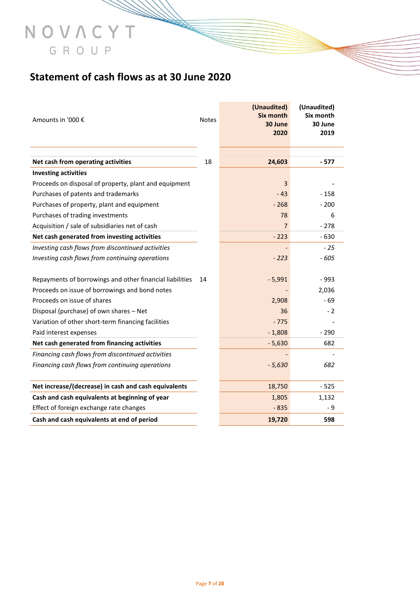### **Statement of cash flows as at 30 June 2020**

NOVACYT

GROUP

| Amounts in '000 €                                                 | Notes | (Unaudited)<br><b>Six month</b><br>30 June<br>2020 | (Unaudited)<br>Six month<br>30 June<br>2019 |
|-------------------------------------------------------------------|-------|----------------------------------------------------|---------------------------------------------|
|                                                                   | 18    | 24,603                                             | - 577                                       |
| Net cash from operating activities<br><b>Investing activities</b> |       |                                                    |                                             |
| Proceeds on disposal of property, plant and equipment             |       | 3                                                  |                                             |
| Purchases of patents and trademarks                               |       | $-43$                                              | - 158                                       |
| Purchases of property, plant and equipment                        |       | $-268$                                             | $-200$                                      |
| Purchases of trading investments                                  |       | 78                                                 | 6                                           |
| Acquisition / sale of subsidiaries net of cash                    |       | $\overline{7}$                                     | $-278$                                      |
| Net cash generated from investing activities                      |       | $-223$                                             | $-630$                                      |
| Investing cash flows from discontinued activities                 |       |                                                    | $-25$                                       |
| Investing cash flows from continuing operations                   |       | $-223$                                             | $-605$                                      |
|                                                                   |       |                                                    |                                             |
| Repayments of borrowings and other financial liabilities          | 14    | $-5,991$                                           | $-993$                                      |
| Proceeds on issue of borrowings and bond notes                    |       |                                                    | 2,036                                       |
| Proceeds on issue of shares                                       |       | 2,908                                              | $-69$                                       |
| Disposal (purchase) of own shares - Net                           |       | 36                                                 | - 2                                         |
| Variation of other short-term financing facilities                |       | $-775$                                             |                                             |
| Paid interest expenses                                            |       | $-1,808$                                           | $-290$                                      |
| Net cash generated from financing activities                      |       | $-5,630$                                           | 682                                         |
| Financing cash flows from discontinued activities                 |       |                                                    |                                             |
| Financing cash flows from continuing operations                   |       | $-5,630$                                           | 682                                         |
|                                                                   |       |                                                    |                                             |
| Net increase/(decrease) in cash and cash equivalents              |       | 18,750                                             | $-525$                                      |
| Cash and cash equivalents at beginning of year                    |       | 1,805                                              | 1,132                                       |
| Effect of foreign exchange rate changes                           |       | $-835$                                             | - 9                                         |
| Cash and cash equivalents at end of period                        |       | 19,720                                             | 598                                         |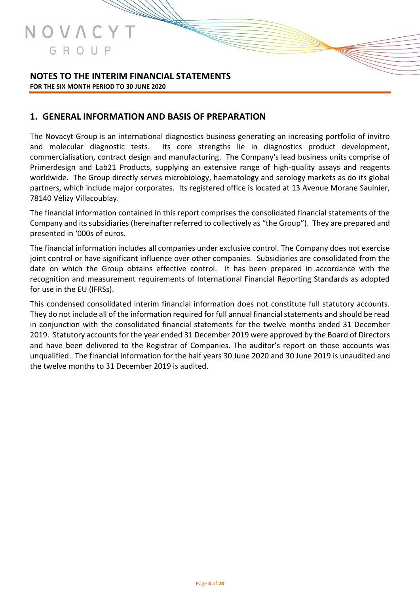

#### **NOTES TO THE INTERIM FINANCIAL STATEMENTS FOR THE SIX MONTH PERIOD TO 30 JUNE 2020**

#### **1. GENERAL INFORMATION AND BASIS OF PREPARATION**

The Novacyt Group is an international diagnostics business generating an increasing portfolio of invitro and molecular diagnostic tests. Its core strengths lie in diagnostics product development, commercialisation, contract design and manufacturing. The Company's lead business units comprise of Primerdesign and Lab21 Products, supplying an extensive range of high-quality assays and reagents worldwide. The Group directly serves microbiology, haematology and serology markets as do its global partners, which include major corporates. Its registered office is located at 13 Avenue Morane Saulnier, 78140 Vélizy Villacoublay.

The financial information contained in this report comprises the consolidated financial statements of the Company and its subsidiaries (hereinafter referred to collectively as "the Group"). They are prepared and presented in '000s of euros.

The financial information includes all companies under exclusive control. The Company does not exercise joint control or have significant influence over other companies. Subsidiaries are consolidated from the date on which the Group obtains effective control. It has been prepared in accordance with the recognition and measurement requirements of International Financial Reporting Standards as adopted for use in the EU (IFRSs).

This condensed consolidated interim financial information does not constitute full statutory accounts. They do not include all of the information required for full annual financial statements and should be read in conjunction with the consolidated financial statements for the twelve months ended 31 December 2019. Statutory accounts for the year ended 31 December 2019 were approved by the Board of Directors and have been delivered to the Registrar of Companies. The auditor's report on those accounts was unqualified. The financial information for the half years 30 June 2020 and 30 June 2019 is unaudited and the twelve months to 31 December 2019 is audited.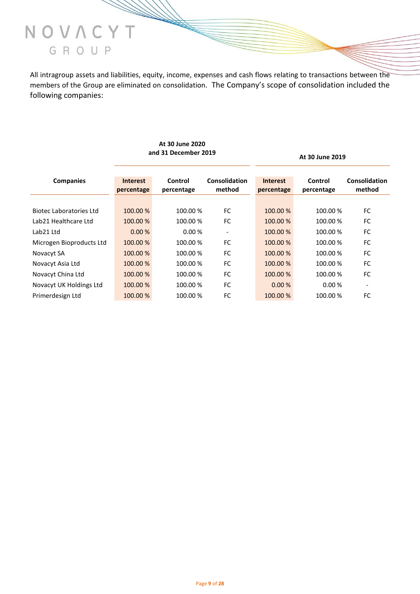

All intragroup assets and liabilities, equity, income, expenses and cash flows relating to transactions between the members of the Group are eliminated on consolidation. The Company's scope of consolidation included the following companies:

|                                |                               |                       |                         |                               | At 30 June 2019       |                         |
|--------------------------------|-------------------------------|-----------------------|-------------------------|-------------------------------|-----------------------|-------------------------|
| <b>Companies</b>               | <b>Interest</b><br>percentage | Control<br>percentage | Consolidation<br>method | <b>Interest</b><br>percentage | Control<br>percentage | Consolidation<br>method |
|                                |                               |                       |                         |                               |                       |                         |
| <b>Biotec Laboratories Ltd</b> | 100.00 %                      | 100.00 %              | <b>FC</b>               | 100.00 %                      | 100.00 %              | <b>FC</b>               |
| Lab21 Healthcare Ltd           | 100.00 %                      | 100.00 %              | <b>FC</b>               | 100.00 %                      | 100.00 %              | FC                      |
| Lab <sub>21</sub> Ltd          | 0.00%                         | 0.00%                 |                         | 100.00 %                      | 100.00 %              | FC                      |
| Microgen Bioproducts Ltd       | 100.00 %                      | 100.00%               | <b>FC</b>               | 100.00 %                      | 100.00 %              | FC                      |
| Novacyt SA                     | 100.00 %                      | 100.00 %              | FC.                     | 100.00 %                      | 100.00 %              | FC                      |
| Novacyt Asia Ltd               | 100.00 %                      | 100.00 %              | <b>FC</b>               | 100.00 %                      | 100.00 %              | FC                      |
| Novacyt China Ltd              | 100.00 %                      | 100.00%               | <b>FC</b>               | 100.00 %                      | 100.00 %              | <b>FC</b>               |
| Novacyt UK Holdings Ltd        | 100.00 %                      | 100.00 %              | <b>FC</b>               | 0.00%                         | 0.00%                 |                         |
| Primerdesign Ltd               | 100.00 %                      | 100.00%               | FC                      | 100.00 %                      | 100.00 %              | FC                      |

#### **At 30 June 2020 and 31 December 2019 At 30 June 2019**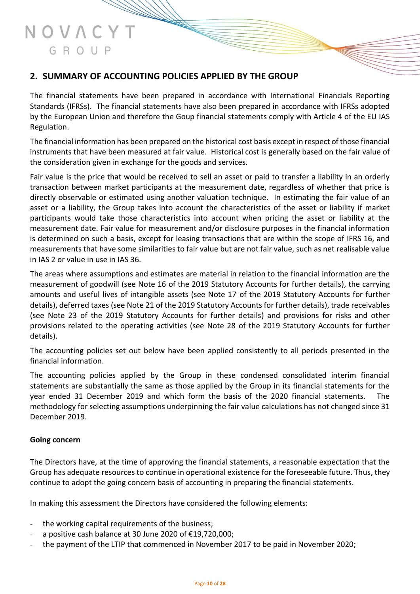#### **2. SUMMARY OF ACCOUNTING POLICIES APPLIED BY THE GROUP**

The financial statements have been prepared in accordance with International Financials Reporting Standards (IFRSs). The financial statements have also been prepared in accordance with IFRSs adopted by the European Union and therefore the Goup financial statements comply with Article 4 of the EU IAS Regulation.

The financial information has been prepared on the historical cost basis except in respect of those financial instruments that have been measured at fair value. Historical cost is generally based on the fair value of the consideration given in exchange for the goods and services.

Fair value is the price that would be received to sell an asset or paid to transfer a liability in an orderly transaction between market participants at the measurement date, regardless of whether that price is directly observable or estimated using another valuation technique. In estimating the fair value of an asset or a liability, the Group takes into account the characteristics of the asset or liability if market participants would take those characteristics into account when pricing the asset or liability at the measurement date. Fair value for measurement and/or disclosure purposes in the financial information is determined on such a basis, except for leasing transactions that are within the scope of IFRS 16, and measurements that have some similarities to fair value but are not fair value, such as net realisable value in IAS 2 or value in use in IAS 36.

The areas where assumptions and estimates are material in relation to the financial information are the measurement of goodwill (see Note 16 of the 2019 Statutory Accounts for further details), the carrying amounts and useful lives of intangible assets (see Note 17 of the 2019 Statutory Accounts for further details), deferred taxes (see Note 21 of the 2019 Statutory Accounts for further details), trade receivables (see Note 23 of the 2019 Statutory Accounts for further details) and provisions for risks and other provisions related to the operating activities (see Note 28 of the 2019 Statutory Accounts for further details).

The accounting policies set out below have been applied consistently to all periods presented in the financial information.

The accounting policies applied by the Group in these condensed consolidated interim financial statements are substantially the same as those applied by the Group in its financial statements for the year ended 31 December 2019 and which form the basis of the 2020 financial statements. The methodology for selecting assumptions underpinning the fair value calculations has not changed since 31 December 2019.

#### **Going concern**

The Directors have, at the time of approving the financial statements, a reasonable expectation that the Group has adequate resources to continue in operational existence for the foreseeable future. Thus, they continue to adopt the going concern basis of accounting in preparing the financial statements.

In making this assessment the Directors have considered the following elements:

- the working capital requirements of the business;
- a positive cash balance at 30 June 2020 of  $£19,720,000;$
- the payment of the LTIP that commenced in November 2017 to be paid in November 2020;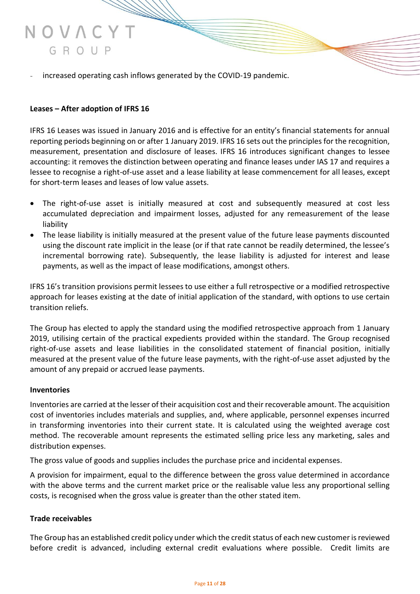increased operating cash inflows generated by the COVID-19 pandemic.

#### **Leases – After adoption of IFRS 16**

IFRS 16 Leases was issued in January 2016 and is effective for an entity's financial statements for annual reporting periods beginning on or after 1 January 2019. IFRS 16 sets out the principles for the recognition, measurement, presentation and disclosure of leases. IFRS 16 introduces significant changes to lessee accounting: it removes the distinction between operating and finance leases under IAS 17 and requires a lessee to recognise a right-of-use asset and a lease liability at lease commencement for all leases, except for short-term leases and leases of low value assets.

- The right-of-use asset is initially measured at cost and subsequently measured at cost less accumulated depreciation and impairment losses, adjusted for any remeasurement of the lease liability
- The lease liability is initially measured at the present value of the future lease payments discounted using the discount rate implicit in the lease (or if that rate cannot be readily determined, the lessee's incremental borrowing rate). Subsequently, the lease liability is adjusted for interest and lease payments, as well as the impact of lease modifications, amongst others.

IFRS 16's transition provisions permit lessees to use either a full retrospective or a modified retrospective approach for leases existing at the date of initial application of the standard, with options to use certain transition reliefs.

The Group has elected to apply the standard using the modified retrospective approach from 1 January 2019, utilising certain of the practical expedients provided within the standard. The Group recognised right-of-use assets and lease liabilities in the consolidated statement of financial position, initially measured at the present value of the future lease payments, with the right-of-use asset adjusted by the amount of any prepaid or accrued lease payments.

#### **Inventories**

Inventories are carried at the lesser of their acquisition cost and their recoverable amount. The acquisition cost of inventories includes materials and supplies, and, where applicable, personnel expenses incurred in transforming inventories into their current state. It is calculated using the weighted average cost method. The recoverable amount represents the estimated selling price less any marketing, sales and distribution expenses.

The gross value of goods and supplies includes the purchase price and incidental expenses.

A provision for impairment, equal to the difference between the gross value determined in accordance with the above terms and the current market price or the realisable value less any proportional selling costs, is recognised when the gross value is greater than the other stated item.

#### **Trade receivables**

The Group has an established credit policy under which the credit status of each new customer is reviewed before credit is advanced, including external credit evaluations where possible. Credit limits are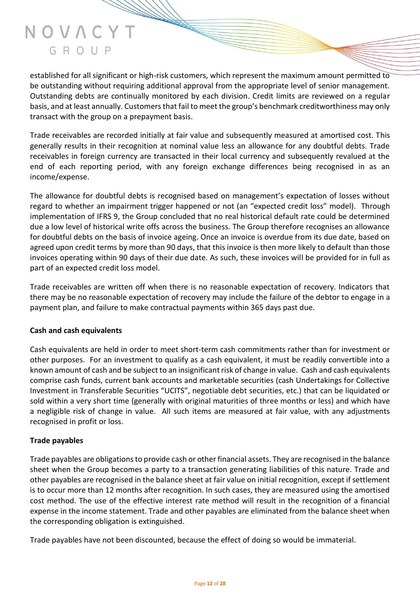established for all significant or high-risk customers, which represent the maximum amount permitted to be outstanding without requiring additional approval from the appropriate level of senior management. Outstanding debts are continually monitored by each division. Credit limits are reviewed on a regular basis, and at least annually. Customers that fail to meet the group's benchmark creditworthiness may only transact with the group on a prepayment basis.

Trade receivables are recorded initially at fair value and subsequently measured at amortised cost. This generally results in their recognition at nominal value less an allowance for any doubtful debts. Trade receivables in foreign currency are transacted in their local currency and subsequently revalued at the end of each reporting period, with any foreign exchange differences being recognised in as an income/expense.

The allowance for doubtful debts is recognised based on management's expectation of losses without regard to whether an impairment trigger happened or not (an "expected credit loss" model). Through implementation of IFRS 9, the Group concluded that no real historical default rate could be determined due a low level of historical write offs across the business. The Group therefore recognises an allowance for doubtful debts on the basis of invoice ageing. Once an invoice is overdue from its due date, based on agreed upon credit terms by more than 90 days, that this invoice is then more likely to default than those invoices operating within 90 days of their due date. As such, these invoices will be provided for in full as part of an expected credit loss model.

Trade receivables are written off when there is no reasonable expectation of recovery. Indicators that there may be no reasonable expectation of recovery may include the failure of the debtor to engage in a payment plan, and failure to make contractual payments within 365 days past due.

#### **Cash and cash equivalents**

Cash equivalents are held in order to meet short-term cash commitments rather than for investment or other purposes. For an investment to qualify as a cash equivalent, it must be readily convertible into a known amount of cash and be subject to an insignificant risk of change in value. Cash and cash equivalents comprise cash funds, current bank accounts and marketable securities (cash Undertakings for Collective Investment in Transferable Securities "UCITS", negotiable debt securities, etc.) that can be liquidated or sold within a very short time (generally with original maturities of three months or less) and which have a negligible risk of change in value. All such items are measured at fair value, with any adjustments recognised in profit or loss.

#### **Trade payables**

Trade payables are obligations to provide cash or other financial assets. They are recognised in the balance sheet when the Group becomes a party to a transaction generating liabilities of this nature. Trade and other payables are recognised in the balance sheet at fair value on initial recognition, except if settlement is to occur more than 12 months after recognition. In such cases, they are measured using the amortised cost method. The use of the effective interest rate method will result in the recognition of a financial expense in the income statement. Trade and other payables are eliminated from the balance sheet when the corresponding obligation is extinguished.

Trade payables have not been discounted, because the effect of doing so would be immaterial.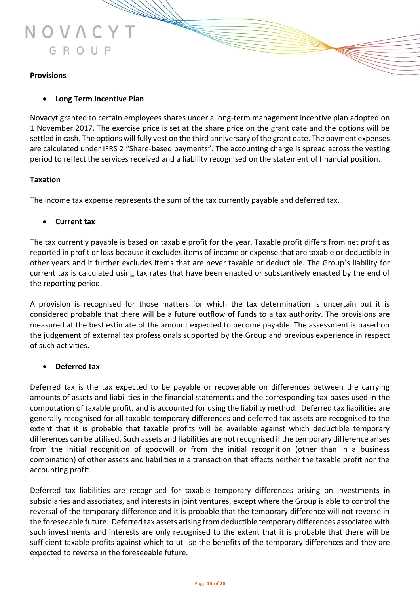

#### **Provisions**

#### • **Long Term Incentive Plan**

Novacyt granted to certain employees shares under a long-term management incentive plan adopted on 1 November 2017. The exercise price is set at the share price on the grant date and the options will be settled in cash. The options will fully vest on the third anniversary of the grant date. The payment expenses are calculated under IFRS 2 "Share-based payments". The accounting charge is spread across the vesting period to reflect the services received and a liability recognised on the statement of financial position.

#### **Taxation**

The income tax expense represents the sum of the tax currently payable and deferred tax.

#### • **Current tax**

The tax currently payable is based on taxable profit for the year. Taxable profit differs from net profit as reported in profit or loss because it excludes items of income or expense that are taxable or deductible in other years and it further excludes items that are never taxable or deductible. The Group's liability for current tax is calculated using tax rates that have been enacted or substantively enacted by the end of the reporting period.

A provision is recognised for those matters for which the tax determination is uncertain but it is considered probable that there will be a future outflow of funds to a tax authority. The provisions are measured at the best estimate of the amount expected to become payable. The assessment is based on the judgement of external tax professionals supported by the Group and previous experience in respect of such activities.

#### • **Deferred tax**

Deferred tax is the tax expected to be payable or recoverable on differences between the carrying amounts of assets and liabilities in the financial statements and the corresponding tax bases used in the computation of taxable profit, and is accounted for using the liability method. Deferred tax liabilities are generally recognised for all taxable temporary differences and deferred tax assets are recognised to the extent that it is probable that taxable profits will be available against which deductible temporary differences can be utilised. Such assets and liabilities are not recognised if the temporary difference arises from the initial recognition of goodwill or from the initial recognition (other than in a business combination) of other assets and liabilities in a transaction that affects neither the taxable profit nor the accounting profit.

Deferred tax liabilities are recognised for taxable temporary differences arising on investments in subsidiaries and associates, and interests in joint ventures, except where the Group is able to control the reversal of the temporary difference and it is probable that the temporary difference will not reverse in the foreseeable future. Deferred tax assets arising from deductible temporary differences associated with such investments and interests are only recognised to the extent that it is probable that there will be sufficient taxable profits against which to utilise the benefits of the temporary differences and they are expected to reverse in the foreseeable future.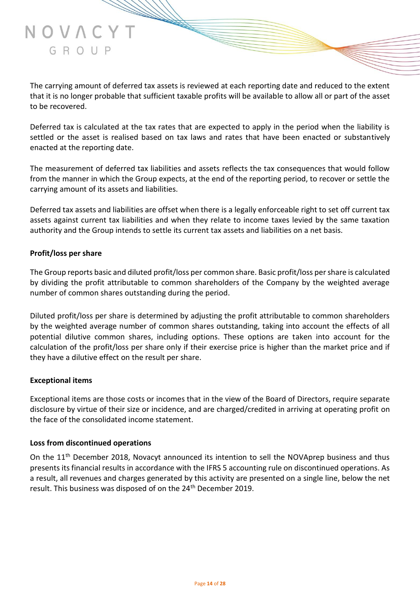Deferred tax is calculated at the tax rates that are expected to apply in the period when the liability is settled or the asset is realised based on tax laws and rates that have been enacted or substantively enacted at the reporting date.

The measurement of deferred tax liabilities and assets reflects the tax consequences that would follow from the manner in which the Group expects, at the end of the reporting period, to recover or settle the carrying amount of its assets and liabilities.

Deferred tax assets and liabilities are offset when there is a legally enforceable right to set off current tax assets against current tax liabilities and when they relate to income taxes levied by the same taxation authority and the Group intends to settle its current tax assets and liabilities on a net basis.

#### **Profit/loss per share**

to be recovered.

NOVACYT

GROUP

The Group reports basic and diluted profit/loss per common share. Basic profit/loss per share is calculated by dividing the profit attributable to common shareholders of the Company by the weighted average number of common shares outstanding during the period.

Diluted profit/loss per share is determined by adjusting the profit attributable to common shareholders by the weighted average number of common shares outstanding, taking into account the effects of all potential dilutive common shares, including options. These options are taken into account for the calculation of the profit/loss per share only if their exercise price is higher than the market price and if they have a dilutive effect on the result per share.

#### **Exceptional items**

Exceptional items are those costs or incomes that in the view of the Board of Directors, require separate disclosure by virtue of their size or incidence, and are charged/credited in arriving at operating profit on the face of the consolidated income statement.

#### **Loss from discontinued operations**

On the 11<sup>th</sup> December 2018, Novacyt announced its intention to sell the NOVAprep business and thus presents its financial results in accordance with the IFRS 5 accounting rule on discontinued operations. As a result, all revenues and charges generated by this activity are presented on a single line, below the net result. This business was disposed of on the 24<sup>th</sup> December 2019.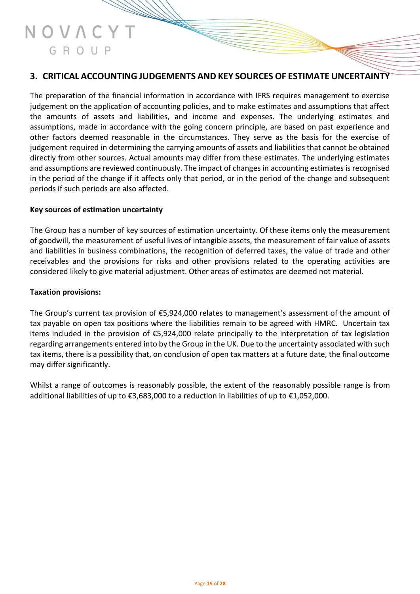#### **3. CRITICAL ACCOUNTING JUDGEMENTS AND KEY SOURCES OF ESTIMATE UNCERTAINTY**

The preparation of the financial information in accordance with IFRS requires management to exercise judgement on the application of accounting policies, and to make estimates and assumptions that affect the amounts of assets and liabilities, and income and expenses. The underlying estimates and assumptions, made in accordance with the going concern principle, are based on past experience and other factors deemed reasonable in the circumstances. They serve as the basis for the exercise of judgement required in determining the carrying amounts of assets and liabilities that cannot be obtained directly from other sources. Actual amounts may differ from these estimates. The underlying estimates and assumptions are reviewed continuously. The impact of changes in accounting estimates is recognised in the period of the change if it affects only that period, or in the period of the change and subsequent periods if such periods are also affected.

#### **Key sources of estimation uncertainty**

The Group has a number of key sources of estimation uncertainty. Of these items only the measurement of goodwill, the measurement of useful lives of intangible assets, the measurement of fair value of assets and liabilities in business combinations, the recognition of deferred taxes, the value of trade and other receivables and the provisions for risks and other provisions related to the operating activities are considered likely to give material adjustment. Other areas of estimates are deemed not material.

#### **Taxation provisions:**

The Group's current tax provision of €5,924,000 relates to management's assessment of the amount of tax payable on open tax positions where the liabilities remain to be agreed with HMRC. Uncertain tax items included in the provision of €5,924,000 relate principally to the interpretation of tax legislation regarding arrangements entered into by the Group in the UK. Due to the uncertainty associated with such tax items, there is a possibility that, on conclusion of open tax matters at a future date, the final outcome may differ significantly.

Whilst a range of outcomes is reasonably possible, the extent of the reasonably possible range is from additional liabilities of up to €3,683,000 to a reduction in liabilities of up to €1,052,000.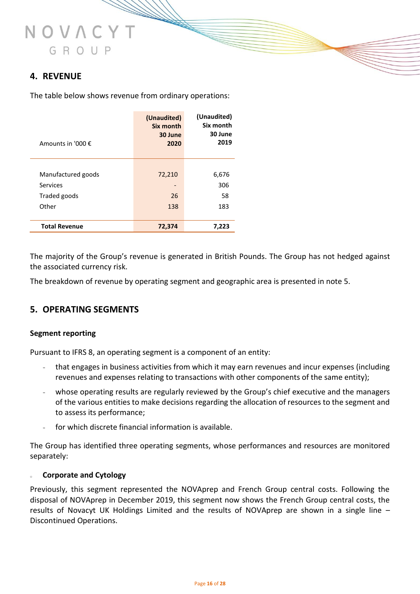## JOVAC GROUP

#### **4. REVENUE**

The table below shows revenue from ordinary operations:

| Amounts in '000 €    | (Unaudited)<br>Six month<br>30 June<br>2020 | (Unaudited)<br>Six month<br>30 June<br>2019 |
|----------------------|---------------------------------------------|---------------------------------------------|
|                      |                                             |                                             |
| Manufactured goods   | 72,210                                      | 6,676                                       |
| Services             |                                             | 306                                         |
| Traded goods         | 26                                          | 58                                          |
| Other                | 138                                         | 183                                         |
| <b>Total Revenue</b> | 72,374                                      | 7,223                                       |

The majority of the Group's revenue is generated in British Pounds. The Group has not hedged against the associated currency risk.

The breakdown of revenue by operating segment and geographic area is presented in note 5.

#### **5. OPERATING SEGMENTS**

#### **Segment reporting**

Pursuant to IFRS 8, an operating segment is a component of an entity:

- that engages in business activities from which it may earn revenues and incur expenses (including revenues and expenses relating to transactions with other components of the same entity);
- whose operating results are regularly reviewed by the Group's chief executive and the managers of the various entities to make decisions regarding the allocation of resources to the segment and to assess its performance;
- for which discrete financial information is available.

The Group has identified three operating segments, whose performances and resources are monitored separately:

#### **Corporate and Cytology**

Previously, this segment represented the NOVAprep and French Group central costs. Following the disposal of NOVAprep in December 2019, this segment now shows the French Group central costs, the results of Novacyt UK Holdings Limited and the results of NOVAprep are shown in a single line – Discontinued Operations.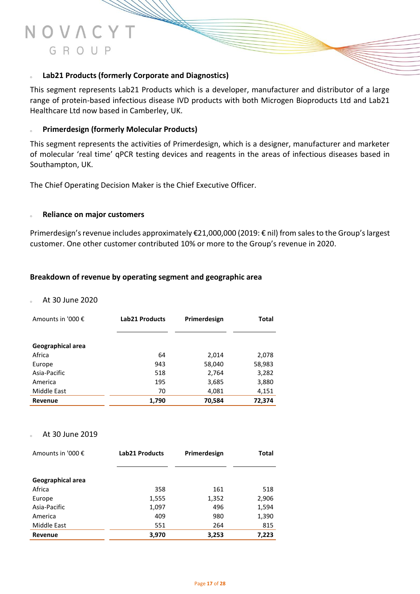#### Lab21 Products (formerly Corporate and Diagnostics)

This segment represents Lab21 Products which is a developer, manufacturer and distributor of a large range of protein-based infectious disease IVD products with both Microgen Bioproducts Ltd and Lab21 Healthcare Ltd now based in Camberley, UK.

#### <sup>o</sup> **Primerdesign (formerly Molecular Products)**

This segment represents the activities of Primerdesign, which is a designer, manufacturer and marketer of molecular 'real time' qPCR testing devices and reagents in the areas of infectious diseases based in Southampton, UK.

The Chief Operating Decision Maker is the Chief Executive Officer.

#### **Reliance on major customers**

Primerdesign's revenue includes approximately €21,000,000 (2019: € nil) from sales to the Group's largest customer. One other customer contributed 10% or more to the Group's revenue in 2020.

#### **Breakdown of revenue by operating segment and geographic area**

#### <sup>o</sup> At 30 June 2020

| Amounts in '000 € | <b>Lab21 Products</b> | Primerdesign | Total  |
|-------------------|-----------------------|--------------|--------|
|                   |                       |              |        |
| Geographical area |                       |              |        |
| Africa            | 64                    | 2,014        | 2,078  |
| Europe            | 943                   | 58,040       | 58,983 |
| Asia-Pacific      | 518                   | 2,764        | 3,282  |
| America           | 195                   | 3,685        | 3,880  |
| Middle East       | 70                    | 4,081        | 4,151  |
| Revenue           | 1,790                 | 70,584       | 72,374 |

#### At 30 June 2019

| Amounts in '000 € | <b>Lab21 Products</b> | Primerdesign | Total |
|-------------------|-----------------------|--------------|-------|
|                   |                       |              |       |
| Geographical area |                       |              |       |
| Africa            | 358                   | 161          | 518   |
| Europe            | 1,555                 | 1,352        | 2,906 |
| Asia-Pacific      | 1,097                 | 496          | 1,594 |
| America           | 409                   | 980          | 1,390 |
| Middle East       | 551                   | 264          | 815   |
| <b>Revenue</b>    | 3,970                 | 3,253        | 7,223 |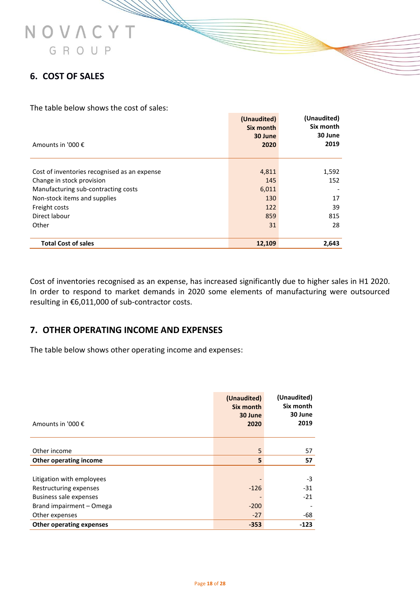#### **6. COST OF SALES**

The table below shows the cost of sales:

| Amounts in '000 €                            | (Unaudited)<br>Six month<br>30 June<br>2020 | (Unaudited)<br>Six month<br>30 June<br>2019 |
|----------------------------------------------|---------------------------------------------|---------------------------------------------|
|                                              |                                             |                                             |
| Cost of inventories recognised as an expense | 4,811                                       | 1,592                                       |
| Change in stock provision                    | 145                                         | 152                                         |
| Manufacturing sub-contracting costs          | 6,011                                       |                                             |
| Non-stock items and supplies                 | 130                                         | 17                                          |
| Freight costs                                | 122                                         | 39                                          |
| Direct labour                                | 859                                         | 815                                         |
| Other                                        | 31                                          | 28                                          |
| <b>Total Cost of sales</b>                   | 12,109                                      | 2.643                                       |

Cost of inventories recognised as an expense, has increased significantly due to higher sales in H1 2020. In order to respond to market demands in 2020 some elements of manufacturing were outsourced resulting in €6,011,000 of sub-contractor costs.

#### **7. OTHER OPERATING INCOME AND EXPENSES**

The table below shows other operating income and expenses:

|                                 | (Unaudited)<br>Six month | (Unaudited)<br>Six month |
|---------------------------------|--------------------------|--------------------------|
| Amounts in '000 €               | 30 June<br>2020          | 30 June<br>2019          |
| Other income                    | 5                        | 57                       |
| Other operating income          | 5                        | 57                       |
|                                 |                          |                          |
| Litigation with employees       |                          | -3                       |
| Restructuring expenses          | $-126$                   | $-31$                    |
| <b>Business sale expenses</b>   |                          | $-21$                    |
| Brand impairment - Omega        | $-200$                   |                          |
| Other expenses                  | $-27$                    | -68                      |
| <b>Other operating expenses</b> | $-353$                   | $-123$                   |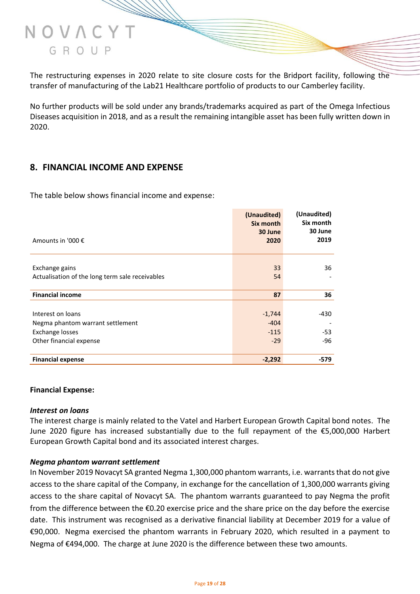

The restructuring expenses in 2020 relate to site closure costs for the Bridport facility, following the transfer of manufacturing of the Lab21 Healthcare portfolio of products to our Camberley facility.

No further products will be sold under any brands/trademarks acquired as part of the Omega Infectious Diseases acquisition in 2018, and as a result the remaining intangible asset has been fully written down in 2020.

#### **8. FINANCIAL INCOME AND EXPENSE**

The table below shows financial income and expense:

| Amounts in '000 €                                                                                   | (Unaudited)<br>Six month<br>30 June<br>2020 | (Unaudited)<br>Six month<br>30 June<br>2019 |
|-----------------------------------------------------------------------------------------------------|---------------------------------------------|---------------------------------------------|
| Exchange gains<br>Actualisation of the long term sale receivables                                   | 33<br>54                                    | 36                                          |
| <b>Financial income</b>                                                                             | 87                                          | 36                                          |
| Interest on loans<br>Negma phantom warrant settlement<br>Exchange losses<br>Other financial expense | $-1,744$<br>$-404$<br>$-115$<br>$-29$       | -430<br>-53<br>-96                          |
| <b>Financial expense</b>                                                                            | $-2,292$                                    | -579                                        |

#### **Financial Expense:**

#### *Interest on loans*

The interest charge is mainly related to the Vatel and Harbert European Growth Capital bond notes. The June 2020 figure has increased substantially due to the full repayment of the €5,000,000 Harbert European Growth Capital bond and its associated interest charges.

#### *Negma phantom warrant settlement*

In November 2019 Novacyt SA granted Negma 1,300,000 phantom warrants, i.e. warrants that do not give access to the share capital of the Company, in exchange for the cancellation of 1,300,000 warrants giving access to the share capital of Novacyt SA. The phantom warrants guaranteed to pay Negma the profit from the difference between the €0.20 exercise price and the share price on the day before the exercise date. This instrument was recognised as a derivative financial liability at December 2019 for a value of €90,000. Negma exercised the phantom warrants in February 2020, which resulted in a payment to Negma of €494,000. The charge at June 2020 is the difference between these two amounts.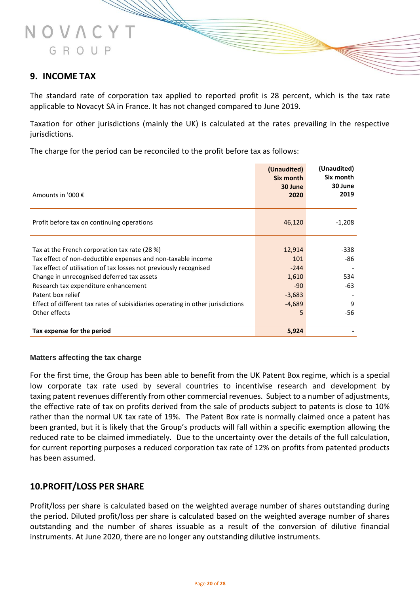#### **9. INCOME TAX**

NOVAC

GROUP

The standard rate of corporation tax applied to reported profit is 28 percent, which is the tax rate applicable to Novacyt SA in France. It has not changed compared to June 2019.

Taxation for other jurisdictions (mainly the UK) is calculated at the rates prevailing in the respective jurisdictions.

The charge for the period can be reconciled to the profit before tax as follows:

|                                                                                 | (Unaudited)<br>Six month | (Unaudited)<br>Six month |
|---------------------------------------------------------------------------------|--------------------------|--------------------------|
| Amounts in '000 €                                                               | 30 June<br>2020          | 30 June<br>2019          |
| Profit before tax on continuing operations                                      | 46,120                   | $-1,208$                 |
|                                                                                 |                          |                          |
| Tax at the French corporation tax rate (28 %)                                   | 12,914                   | -338                     |
| Tax effect of non-deductible expenses and non-taxable income                    | 101                      | -86                      |
| Tax effect of utilisation of tax losses not previously recognised               | $-244$                   |                          |
| Change in unrecognised deferred tax assets                                      | 1,610                    | 534                      |
| Research tax expenditure enhancement                                            | $-90$                    | -63                      |
| Patent box relief                                                               | $-3,683$                 |                          |
| Effect of different tax rates of subisidiaries operating in other jurisdictions | $-4,689$                 | 9                        |
| Other effects                                                                   | 5                        | -56                      |
| Tax expense for the period                                                      | 5,924                    |                          |

#### **Matters affecting the tax charge**

For the first time, the Group has been able to benefit from the UK Patent Box regime, which is a special low corporate tax rate used by several countries to incentivise research and development by taxing [patent](https://eur02.safelinks.protection.outlook.com/?url=https%3A%2F%2Fen.wikipedia.org%2Fwiki%2FIntellectual_property&data=02%7C01%7Csteve.gibson%40novacyt.com%7C8b06dbf44aef4eb263e508d8330f559b%7C7f86b855a6074882a2cf7ae773bd7869%7C0%7C0%7C637315488243249380&sdata=ETOx05SidyaMqjTCu5gOPlC0bRR40Spfe6ELvkfWrHM%3D&reserved=0) revenues differently from other commercial revenues. Subject to a number of adjustments, the effective rate of tax on profits derived from the sale of products subject to patents is close to 10% rather than the normal UK tax rate of 19%. The Patent Box rate is normally claimed once a patent has been granted, but it is likely that the Group's products will fall within a specific exemption allowing the reduced rate to be claimed immediately. Due to the uncertainty over the details of the full calculation, for current reporting purposes a reduced corporation tax rate of 12% on profits from patented products has been assumed.

#### **10.PROFIT/LOSS PER SHARE**

Profit/loss per share is calculated based on the weighted average number of shares outstanding during the period. Diluted profit/loss per share is calculated based on the weighted average number of shares outstanding and the number of shares issuable as a result of the conversion of dilutive financial instruments. At June 2020, there are no longer any outstanding dilutive instruments.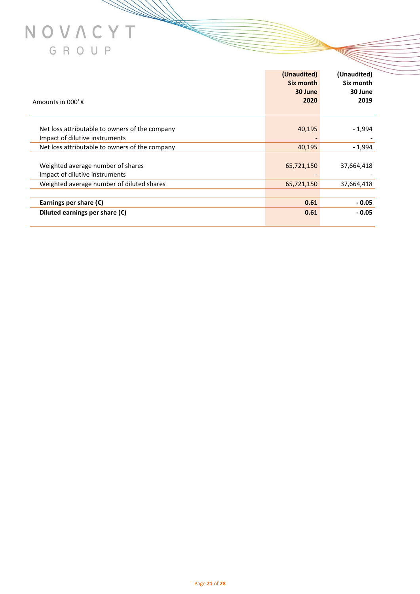| Amounts in 000' $f$ .                          | (Unaudited)<br>Six month<br>30 June<br>2020 | (Unaudited)<br>Six month<br>30 June<br>2019 |
|------------------------------------------------|---------------------------------------------|---------------------------------------------|
| Net loss attributable to owners of the company | 40,195                                      | - 1,994                                     |
| Impact of dilutive instruments                 |                                             |                                             |
| Net loss attributable to owners of the company | 40,195                                      | $-1,994$                                    |
|                                                |                                             |                                             |
| Weighted average number of shares              | 65,721,150                                  | 37,664,418                                  |
| Impact of dilutive instruments                 |                                             |                                             |
| Weighted average number of diluted shares      | 65,721,150                                  | 37,664,418                                  |
|                                                |                                             |                                             |
| Earnings per share $(\epsilon)$                | 0.61                                        | $-0.05$                                     |
| Diluted earnings per share $(\epsilon)$        | 0.61                                        | $-0.05$                                     |

**STARTED STARTED STARTED STARTED STARTED STARTED STARTED STARTED STARTED STARTED STARTED STARTED STARTED STARTED STARTED STARTED STARTED STARTED STARTED STARTED STARTED STARTED STARTED ST**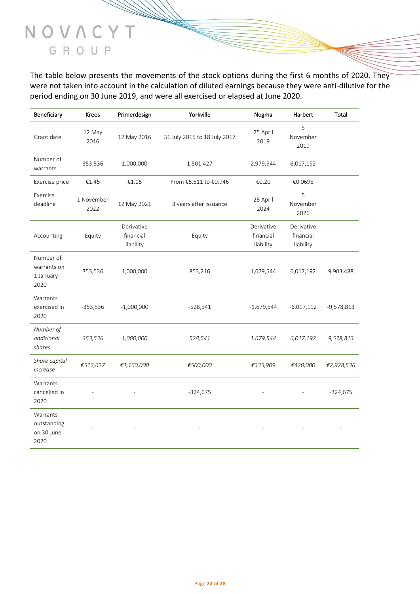The table below presents the movements of the stock options during the first 6 months of 2020. They were not taken into account in the calculation of diluted earnings because they were anti-dilutive for the period ending on 30 June 2019, and were all exercised or elapsed at June 2020.

| Beneficiary                                   | Kreos              | Primerdesign                         | Yorkville                    | Negma                                | Harbert                              | Total        |
|-----------------------------------------------|--------------------|--------------------------------------|------------------------------|--------------------------------------|--------------------------------------|--------------|
| Grant date                                    | 12 May<br>2016     | 12 May 2016                          | 31 July 2015 to 18 July 2017 | 25 April<br>2019                     | 5<br>November<br>2019                |              |
| Number of<br>warrants                         | 353,536            | 1,000,000                            | 1,501,427                    | 2,979,544                            | 6,017,192                            |              |
| Exercise price                                | €1.45              | €1.16                                | From €5.511 to €0.946        | €0.20                                | €0.0698                              |              |
| Exercise<br>deadline                          | 1 November<br>2022 | 12 May 2021                          | 3 years after issuance       | 25 April<br>2024                     | 5<br>November<br>2026                |              |
| Accounting                                    | Equity             | Derivative<br>financial<br>liability | Equity                       | Derivative<br>financial<br>liability | Derivative<br>financial<br>liability |              |
| Number of<br>warrants on<br>1 January<br>2020 | 353,536            | 1,000,000                            | 853,216                      | 1,679,544                            | 6,017,192                            | 9,903,488    |
| Warrants<br>exercised in<br>2020              | $-353,536$         | $-1,000,000$                         | $-528,541$                   | $-1,679,544$                         | $-6,017,192$                         | $-9,578,813$ |
| Number of<br>additional<br>shares             | 353,536            | 1,000,000                            | 528,541                      | 1,679,544                            | 6,017,192                            | 9,578,813    |
| Share capital<br>increase                     | €512,627           | €1,160,000                           | €500,000                     | €335,909                             | €420,000                             | €2,928,536   |
| Warrants<br>cancelled in<br>2020              |                    |                                      | $-324,675$                   |                                      |                                      | $-324,675$   |
| Warrants<br>outstanding<br>on 30 June<br>2020 |                    |                                      |                              |                                      |                                      |              |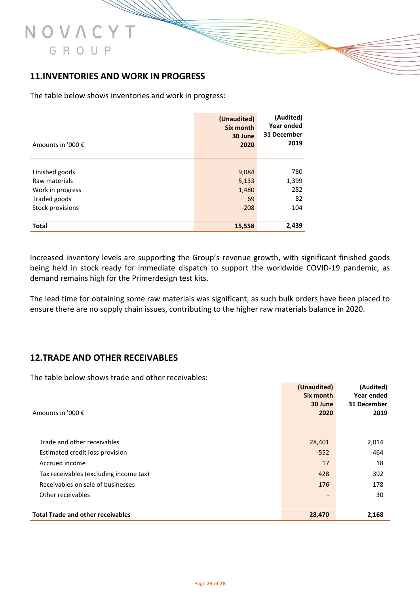#### **11.INVENTORIES AND WORK IN PROGRESS**

The table below shows inventories and work in progress:

| Amounts in '000 € | (Unaudited)<br><b>Six month</b><br>30 June<br>2020 | (Audited)<br>Year ended<br>31 December<br>2019 |
|-------------------|----------------------------------------------------|------------------------------------------------|
|                   |                                                    |                                                |
| Finished goods    | 9,084                                              | 780                                            |
| Raw materials     | 5,133                                              | 1,399                                          |
| Work in progress  | 1,480                                              | 282                                            |
| Traded goods      | 69                                                 | 82                                             |
| Stock provisions  | $-208$                                             | $-104$                                         |
| <b>Total</b>      | 15,558                                             | 2,439                                          |

Increased inventory levels are supporting the Group's revenue growth, with significant finished goods being held in stock ready for immediate dispatch to support the worldwide COVID-19 pandemic, as demand remains high for the Primerdesign test kits.

The lead time for obtaining some raw materials was significant, as such bulk orders have been placed to ensure there are no supply chain issues, contributing to the higher raw materials balance in 2020.

#### **12.TRADE AND OTHER RECEIVABLES**

The table below shows trade and other receivables:

| Amounts in '000 €                        | (Unaudited)<br><b>Six month</b><br>30 June<br>2020 | (Audited)<br>Year ended<br>31 December<br>2019 |
|------------------------------------------|----------------------------------------------------|------------------------------------------------|
|                                          |                                                    |                                                |
| Trade and other receivables              | 28,401                                             | 2,014                                          |
| Estimated credit loss provision          | $-552$                                             | $-464$                                         |
| Accrued income                           | 17                                                 | 18                                             |
| Tax receivables (excluding income tax)   | 428                                                | 392                                            |
| Receivables on sale of businesses        | 176                                                | 178                                            |
| Other receivables                        |                                                    | 30                                             |
| <b>Total Trade and other receivables</b> | 28,470                                             | 2,168                                          |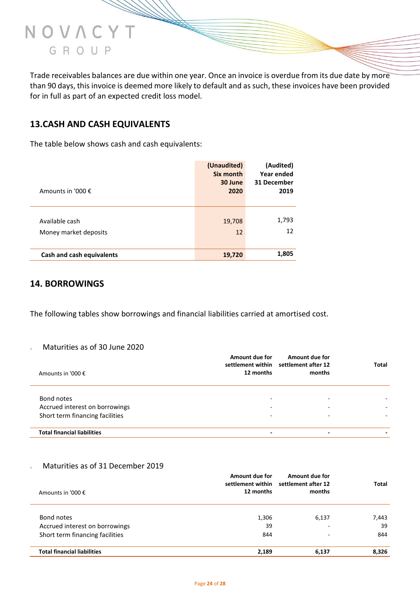

Trade receivables balances are due within one year. Once an invoice is overdue from its due date by more than 90 days, this invoice is deemed more likely to default and as such, these invoices have been provided for in full as part of an expected credit loss model.

#### **13.CASH AND CASH EQUIVALENTS**

The table below shows cash and cash equivalents:

| Amounts in '000 €                       | (Unaudited)<br>Six month<br>30 June<br>2020 | (Audited)<br>Year ended<br>31 December<br>2019 |
|-----------------------------------------|---------------------------------------------|------------------------------------------------|
| Available cash<br>Money market deposits | 19,708<br>12                                | 1,793<br>12                                    |
| Cash and cash equivalents               | 19,720                                      | 1,805                                          |

#### **14. BORROWINGS**

The following tables show borrowings and financial liabilities carried at amortised cost.

#### <sup>o</sup> Maturities as of 30 June 2020

| Amounts in '000 €                  | Amount due for<br>12 months | Amount due for<br>settlement within settlement after 12<br>months | Total |
|------------------------------------|-----------------------------|-------------------------------------------------------------------|-------|
| Bond notes                         |                             |                                                                   |       |
| Accrued interest on borrowings     |                             |                                                                   |       |
| Short term financing facilities    |                             |                                                                   |       |
| <b>Total financial liabilities</b> |                             |                                                                   |       |

#### Maturities as of 31 December 2019

| Amounts in '000 €                  | Amount due for<br>12 months | <b>Amount due for</b><br>settlement within settlement after 12<br>months | Total |
|------------------------------------|-----------------------------|--------------------------------------------------------------------------|-------|
| Bond notes                         | 1,306                       | 6,137                                                                    | 7,443 |
| Accrued interest on borrowings     | 39                          |                                                                          | 39    |
| Short term financing facilities    | 844                         |                                                                          | 844   |
| <b>Total financial liabilities</b> | 2.189                       | 6,137                                                                    | 8,326 |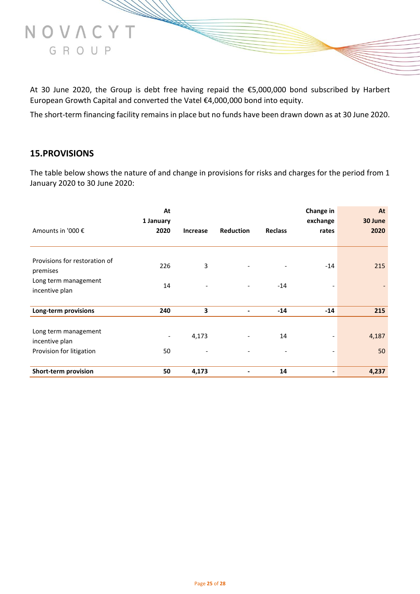

At 30 June 2020, the Group is debt free having repaid the €5,000,000 bond subscribed by Harbert European Growth Capital and converted the Vatel €4,000,000 bond into equity.

The short-term financing facility remains in place but no funds have been drawn down as at 30 June 2020.

#### **15.PROVISIONS**

The table below shows the nature of and change in provisions for risks and charges for the period from 1 January 2020 to 30 June 2020:

|                                                                    | At<br>1 January                |                 |                          |                | Change in<br>exchange | At<br>30 June |
|--------------------------------------------------------------------|--------------------------------|-----------------|--------------------------|----------------|-----------------------|---------------|
| Amounts in '000 €                                                  | 2020                           | <b>Increase</b> | <b>Reduction</b>         | <b>Reclass</b> | rates                 | 2020          |
| Provisions for restoration of<br>premises                          | 226                            | 3               |                          |                | $-14$                 | 215           |
| Long term management<br>incentive plan                             | 14                             |                 |                          | $-14$          |                       |               |
| Long-term provisions                                               | 240                            | 3               |                          | $-14$          | $-14$                 | 215           |
| Long term management<br>incentive plan<br>Provision for litigation | $\overline{\phantom{a}}$<br>50 | 4,173           |                          | 14             |                       | 4,187<br>50   |
| <b>Short-term provision</b>                                        | 50                             | 4,173           | $\overline{\phantom{a}}$ | 14             |                       | 4,237         |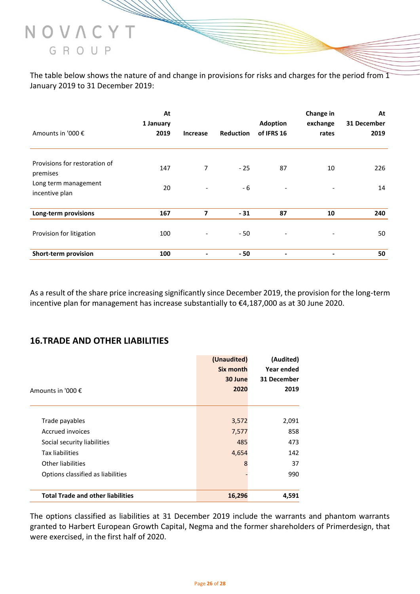

The table below shows the nature of and change in provisions for risks and charges for the period from 1 January 2019 to 31 December 2019:

|                                           | At<br>1 January |                          |                  | <b>Adoption</b>          | Change in<br>exchange | At<br>31 December |
|-------------------------------------------|-----------------|--------------------------|------------------|--------------------------|-----------------------|-------------------|
| Amounts in '000 €                         | 2019            | <b>Increase</b>          | <b>Reduction</b> | of IFRS 16               | rates                 | 2019              |
| Provisions for restoration of<br>premises | 147             | $\overline{7}$           | $-25$            | 87                       | 10                    | 226               |
| Long term management<br>incentive plan    | 20              | $\overline{\phantom{a}}$ | - 6              | $\overline{\phantom{a}}$ |                       | 14                |
| Long-term provisions                      | 167             | 7                        | $-31$            | 87                       | 10                    | 240               |
| Provision for litigation                  | 100             |                          | $-50$            | $\overline{\phantom{a}}$ | ۰                     | 50                |
| Short-term provision                      | 100             |                          | - 50             | $\overline{\phantom{a}}$ | $\blacksquare$        | 50                |

As a result of the share price increasing significantly since December 2019, the provision for the long-term incentive plan for management has increase substantially to €4,187,000 as at 30 June 2020.

#### **16.TRADE AND OTHER LIABILITIES**

|                                          | (Unaudited) | (Audited)   |
|------------------------------------------|-------------|-------------|
|                                          | Six month   | Year ended  |
|                                          | 30 June     | 31 December |
| Amounts in '000 €                        | 2020        | 2019        |
|                                          |             |             |
|                                          |             |             |
| Trade payables                           | 3,572       | 2,091       |
| Accrued invoices                         | 7,577       | 858         |
| Social security liabilities              | 485         | 473         |
| Tax liabilities                          | 4,654       | 142         |
| Other liabilities                        | 8           | 37          |
| Options classified as liabilities        |             | 990         |
|                                          |             |             |
| <b>Total Trade and other liabilities</b> | 16,296      | 4,591       |

The options classified as liabilities at 31 December 2019 include the warrants and phantom warrants granted to Harbert European Growth Capital, Negma and the former shareholders of Primerdesign, that were exercised, in the first half of 2020.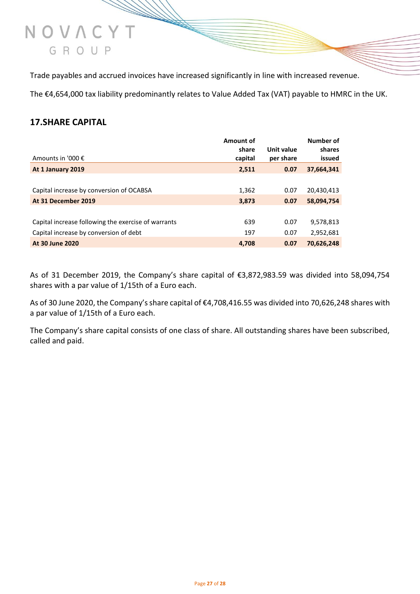#### Trade payables and accrued invoices have increased significantly in line with increased revenue.

The €4,654,000 tax liability predominantly relates to Value Added Tax (VAT) payable to HMRC in the UK.

#### **17.SHARE CAPITAL**

NOVAC

GROUP

|                                                     | Amount of<br>share | Unit value | Number of<br>shares |
|-----------------------------------------------------|--------------------|------------|---------------------|
| Amounts in '000 €                                   | capital            | per share  | issued              |
| At 1 January 2019                                   | 2,511              | 0.07       | 37,664,341          |
|                                                     |                    |            |                     |
| Capital increase by conversion of OCABSA            | 1,362              | 0.07       | 20,430,413          |
| At 31 December 2019                                 | 3,873              | 0.07       | 58,094,754          |
|                                                     |                    |            |                     |
| Capital increase following the exercise of warrants | 639                | 0.07       | 9,578,813           |
| Capital increase by conversion of debt              | 197                | 0.07       | 2,952,681           |
| At 30 June 2020                                     | 4.708              | 0.07       | 70,626,248          |

As of 31 December 2019, the Company's share capital of €3,872,983.59 was divided into 58,094,754 shares with a par value of 1/15th of a Euro each.

As of 30 June 2020, the Company's share capital of €4,708,416.55 was divided into 70,626,248 shares with a par value of 1/15th of a Euro each.

The Company's share capital consists of one class of share. All outstanding shares have been subscribed, called and paid.